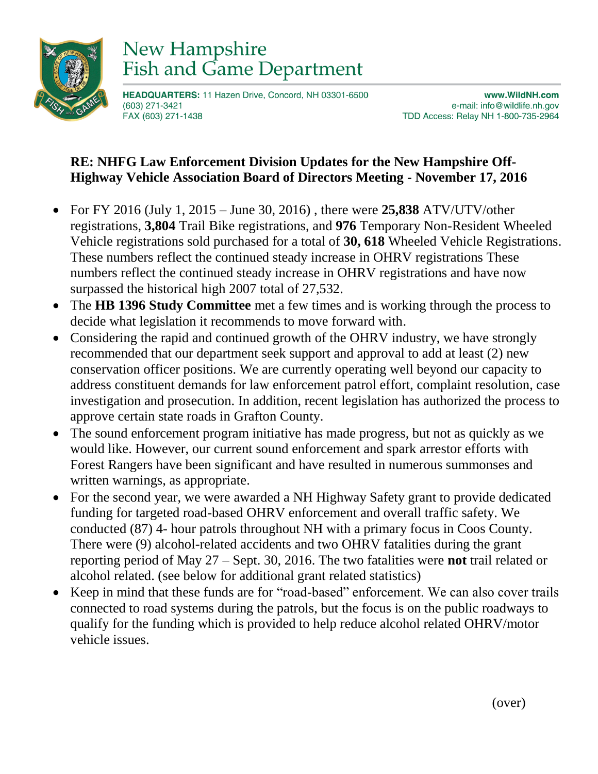

## New Hampshire **Fish and Game Department**

HEADQUARTERS: 11 Hazen Drive, Concord, NH 03301-6500 (603) 271-3421 FAX (603) 271-1438

www.WildNH.com e-mail: info@wildlife.nh.gov TDD Access: Relay NH 1-800-735-2964

## **RE: NHFG Law Enforcement Division Updates for the New Hampshire Off-Highway Vehicle Association Board of Directors Meeting - November 17, 2016**

- For FY 2016 (July 1, 2015 June 30, 2016) , there were **25,838** ATV/UTV/other registrations, **3,804** Trail Bike registrations, and **976** Temporary Non-Resident Wheeled Vehicle registrations sold purchased for a total of **30, 618** Wheeled Vehicle Registrations. These numbers reflect the continued steady increase in OHRV registrations These numbers reflect the continued steady increase in OHRV registrations and have now surpassed the historical high 2007 total of 27,532.
- The **HB 1396 Study Committee** met a few times and is working through the process to decide what legislation it recommends to move forward with.
- Considering the rapid and continued growth of the OHRV industry, we have strongly recommended that our department seek support and approval to add at least (2) new conservation officer positions. We are currently operating well beyond our capacity to address constituent demands for law enforcement patrol effort, complaint resolution, case investigation and prosecution. In addition, recent legislation has authorized the process to approve certain state roads in Grafton County.
- The sound enforcement program initiative has made progress, but not as quickly as we would like. However, our current sound enforcement and spark arrestor efforts with Forest Rangers have been significant and have resulted in numerous summonses and written warnings, as appropriate.
- For the second year, we were awarded a NH Highway Safety grant to provide dedicated funding for targeted road-based OHRV enforcement and overall traffic safety. We conducted (87) 4- hour patrols throughout NH with a primary focus in Coos County. There were (9) alcohol-related accidents and two OHRV fatalities during the grant reporting period of May 27 – Sept. 30, 2016. The two fatalities were **not** trail related or alcohol related. (see below for additional grant related statistics)
- Keep in mind that these funds are for "road-based" enforcement. We can also cover trails connected to road systems during the patrols, but the focus is on the public roadways to qualify for the funding which is provided to help reduce alcohol related OHRV/motor vehicle issues.